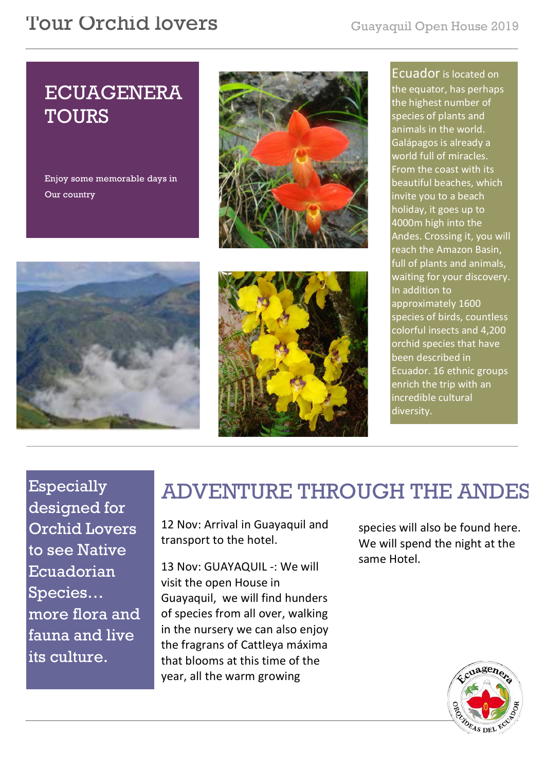# Tour Orchid lovers Guayaquil Open House 2019

# ECUAGENERA **TOURS**

Enjoy some memorable days in Our country







**Ecuador** is located on the equator, has perhaps the highest number of species of plants and animals in the world. Galápagos is already a world full of miracles. From the coast with its beautiful beaches, which invite you to a beach holiday, it goes up to 4000m high into the Andes. Crossing it, you will reach the Amazon Basin, full of plants and animals, waiting for your discovery. In addition to approximately 1600 species of birds, countless colorful insects and 4,200 orchid species that have been described in Ecuador. 16 ethnic groups enrich the trip with an incredible cultural diversity. 

Especially designed for Orchid Lovers to see Native Ecuadorian Species… more flora and fauna and live its culture.

# ADVENTURE THROUGH THE ANDES

12 Nov: Arrival in Guayaquil and transport to the hotel.

13 Nov: GUAYAQUIL -: We will visit the open House in Guayaquil, we will find hunders of species from all over, walking in the nursery we can also enjoy the fragrans of Cattleya máxima that blooms at this time of the year, all the warm growing

species will also be found here. We will spend the night at the same Hotel.

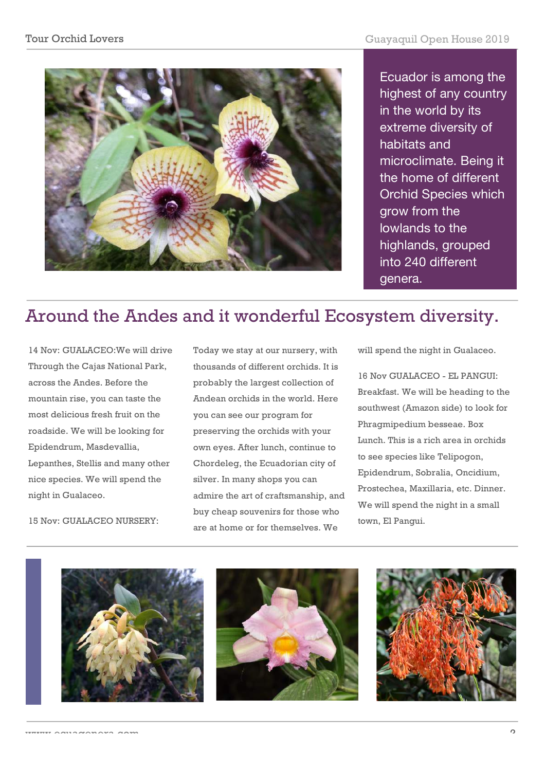

Ecuador is among the highest of any country in the world by its extreme diversity of habitats and microclimate. Being it the home of different Orchid Species which grow from the lowlands to the highlands, grouped into 240 different genera.

## Around the Andes and it wonderful Ecosystem diversity.

14 Nov: GUALACEO:We will drive Through the Cajas National Park, across the Andes. Before the mountain rise, you can taste the most delicious fresh fruit on the roadside. We will be looking for Epidendrum, Masdevallia, Lepanthes, Stellis and many other nice species. We will spend the night in Gualaceo.

15 Nov: GUALACEO NURSERY:

Today we stay at our nursery, with thousands of different orchids. It is probably the largest collection of Andean orchids in the world. Here you can see our program for preserving the orchids with your own eyes. After lunch, continue to Chordeleg, the Ecuadorian city of silver. In many shops you can admire the art of craftsmanship, and buy cheap souvenirs for those who are at home or for themselves. We

will spend the night in Gualaceo.

16 Nov GUALACEO - EL PANGUI: Breakfast. We will be heading to the southwest (Amazon side) to look for Phragmipedium besseae. Box Lunch. This is a rich area in orchids to see species like Telipogon, Epidendrum, Sobralia, Oncidium, Prostechea, Maxillaria, etc. Dinner. We will spend the night in a small town, El Pangui.

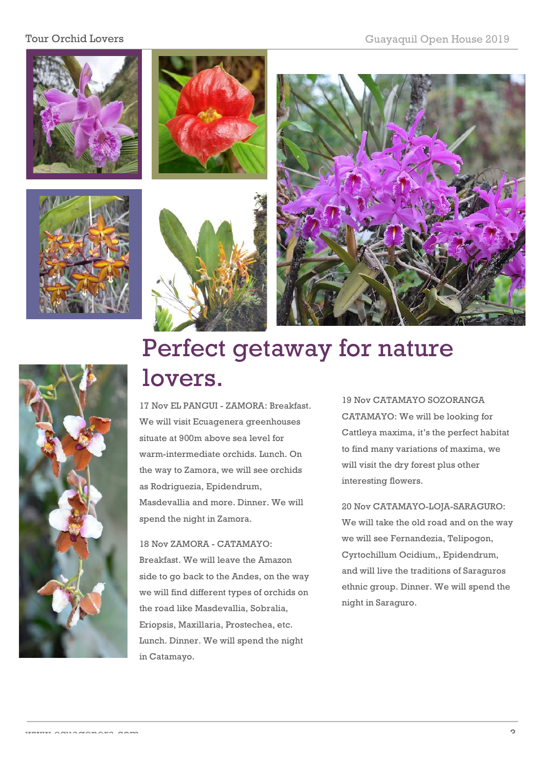









# Perfect getaway for nature lovers.

17 Nov EL PANGUI - ZAMORA: Breakfast. We will visit Ecuagenera greenhouses situate at 900m above sea level for warm-intermediate orchids. Lunch. On the way to Zamora, we will see orchids as Rodriguezia, Epidendrum, Masdevallia and more. Dinner. We will spend the night in Zamora.

18 Nov ZAMORA - CATAMAYO: Breakfast. We will leave the Amazon side to go back to the Andes, on the way we will find different types of orchids on the road like Masdevallia, Sobralia, Eriopsis, Maxillaria, Prostechea, etc. Lunch. Dinner. We will spend the night in Catamayo.

19 Nov CATAMAYO SOZORANGA CATAMAYO: We will be looking for Cattleya maxima, it's the perfect habitat to find many variations of maxima, we will visit the dry forest plus other interesting flowers.

20 Nov CATAMAYO-LOJA-SARAGURO: We will take the old road and on the way we will see Fernandezia, Telipogon, Cyrtochillum Ocidium,, Epidendrum, and will live the traditions of Saraguros ethnic group. Dinner. We will spend the night in Saraguro.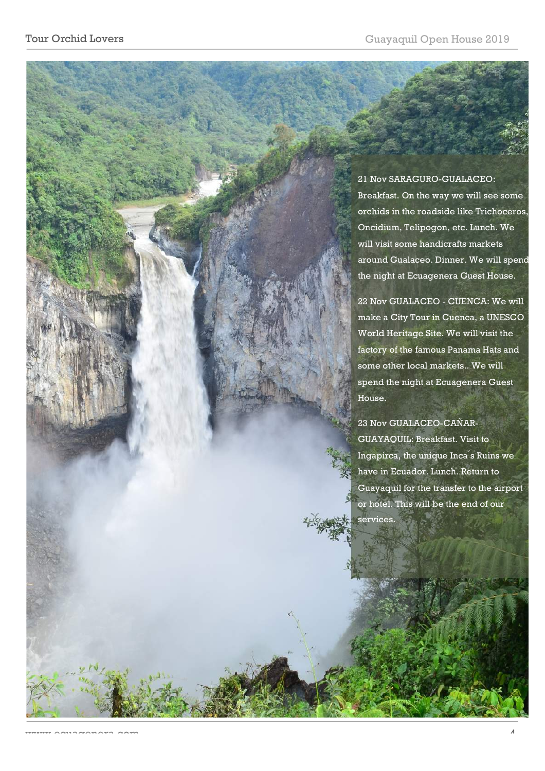### 21 Nov SARAGURO-GUALACEO:

Breakfast. On the way we will see some orchids in the roadside like Trichoceros, Oncidium, Telipogon, etc. Lunch. We will visit some handicrafts markets around Gualaceo. Dinner. We will spend the night at Ecuagenera Guest House.

22 Nov GUALACEO - CUENCA: We will make a City Tour in Cuenca, a UNESCO World Heritage Site. We will visit the factory of the famous Panama Hats and some other local markets.. We will spend the night at Ecuagenera Guest House.

23 Nov GUALACEO-CAÑAR-GUAYAQUIL: Breakfast. Visit to Ingapirca, the unique Inca ́s Ruins we have in Ecuador. Lunch. Return to Guayaquil for the transfer to the airport or hotel. This will be the end of our services.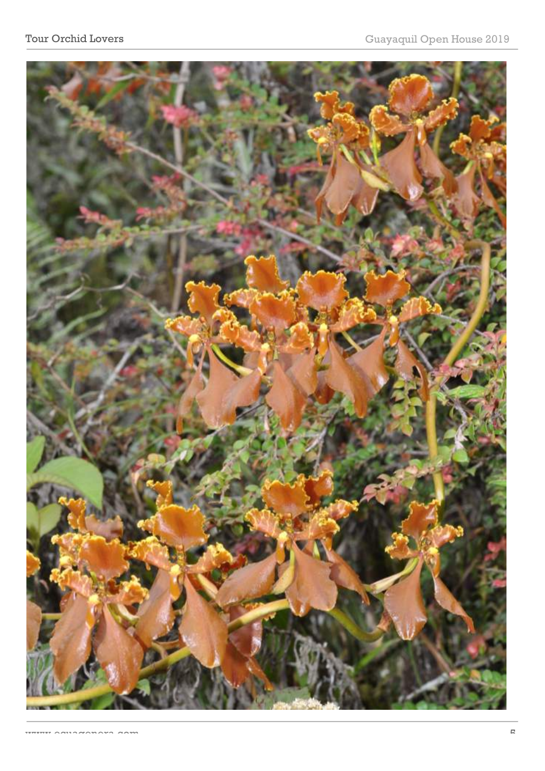